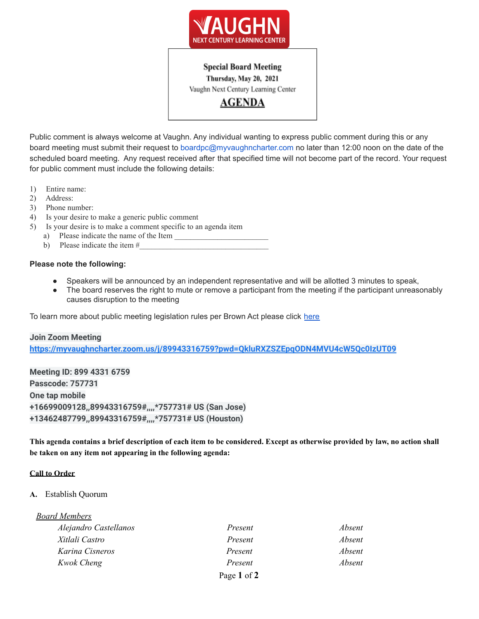

# **Special Board Meeting**

Thursday, May 20, 2021

Vaughn Next Century Learning Center

**AGENDA** 

Public comment is always welcome at Vaughn. Any individual wanting to express public comment during this or any board meeting must submit their request to boardpc@myvaughncharter.com no later than 12:00 noon on the date of the scheduled board meeting. Any request received after that specified time will not become part of the record. Your request for public comment must include the following details:

- 1) Entire name:
- 2) Address:
- 3) Phone number:
- 4) Is your desire to make a generic public comment
- 5) Is your desire is to make a comment specific to an agenda item
	- a) Please indicate the name of the Item
	- b) Please indicate the item  $#_2$

## **Please note the following:**

- Speakers will be announced by an independent representative and will be allotted 3 minutes to speak,
- The board reserves the right to mute or remove a participant from the meeting if the participant unreasonably causes disruption to the meeting

To learn more about public meeting legislation rules per Brown Act please click [here](https://leginfo.legislature.ca.gov/faces/billTextClient.xhtml?bill_id=201520160AB1787)

#### **Join Zoom Meeting**

**<https://myvaughncharter.zoom.us/j/89943316759?pwd=QkluRXZSZEpqODN4MVU4cW5Qc0IzUT09>**

**Meeting ID: 899 4331 6759 Passcode: 757731 One tap mobile +16699009128,,89943316759#,,,,\*757731# US (San Jose) +13462487799,,89943316759#,,,,\*757731# US (Houston)**

This agenda contains a brief description of each item to be considered. Except as otherwise provided by law, no action shall **be taken on any item not appearing in the following agenda:**

#### **Call to Order**

# **A.** Establish Quorum

| <b>Board Members</b>  |             |        |
|-----------------------|-------------|--------|
| Alejandro Castellanos | Present     | Absent |
| Xitlali Castro        | Present     | Absent |
| Karina Cisneros       | Present     | Absent |
| Kwok Cheng            | Present     | Absent |
|                       | Page 1 of 2 |        |